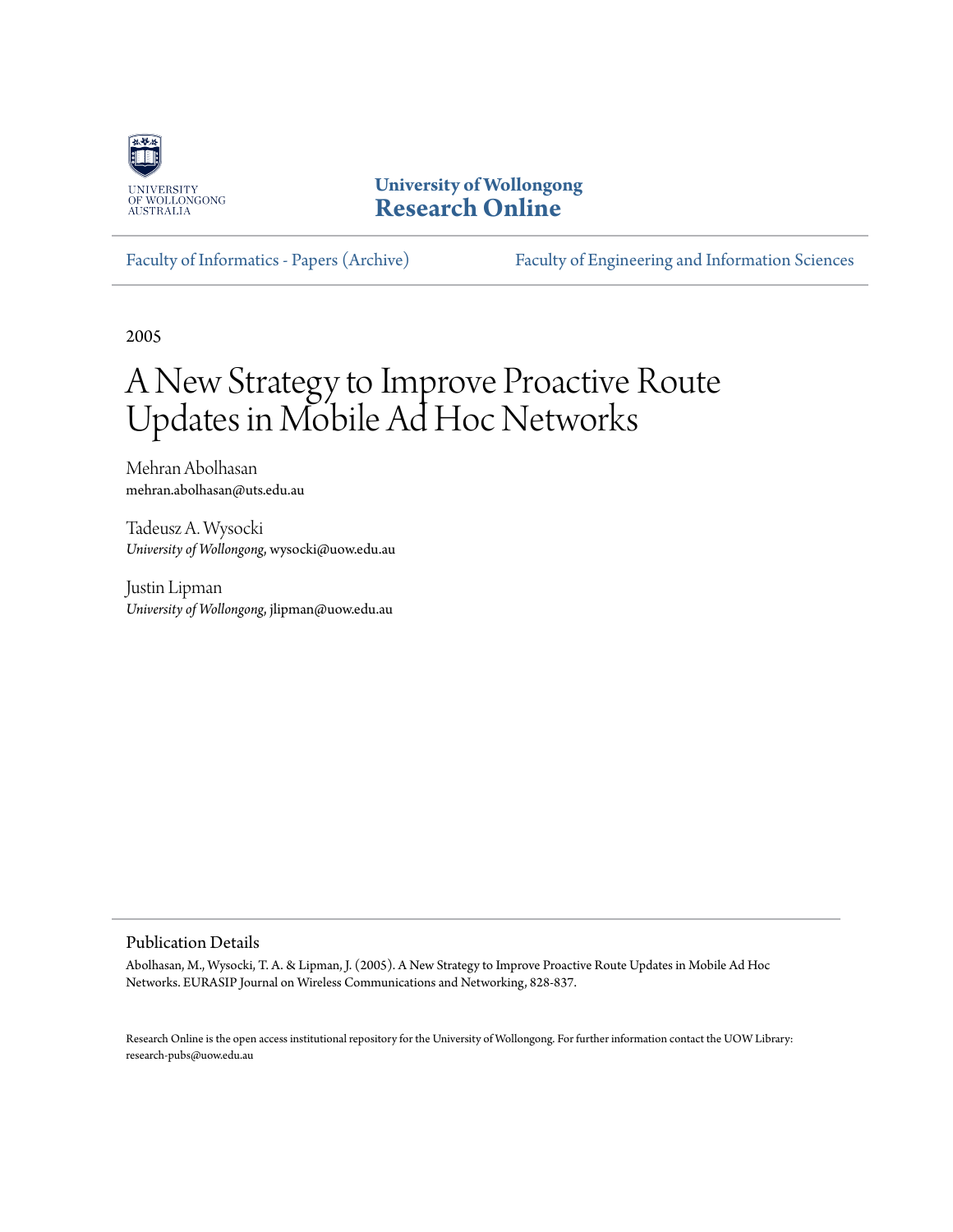

# **University of Wollongong [Research Online](http://ro.uow.edu.au)**

[Faculty of Informatics - Papers \(Archive\)](http://ro.uow.edu.au/infopapers) [Faculty of Engineering and Information Sciences](http://ro.uow.edu.au/eis)

2005

# A New Strategy to Improve Proactive Route Updates in Mobile Ad Hoc Networks

Mehran Abolhasan mehran.abolhasan@uts.edu.au

Tadeusz A. Wysocki *University of Wollongong*, wysocki@uow.edu.au

Justin Lipman *University of Wollongong*, jlipman@uow.edu.au

# Publication Details

Abolhasan, M., Wysocki, T. A. & Lipman, J. (2005). A New Strategy to Improve Proactive Route Updates in Mobile Ad Hoc Networks. EURASIP Journal on Wireless Communications and Networking, 828-837.

Research Online is the open access institutional repository for the University of Wollongong. For further information contact the UOW Library: research-pubs@uow.edu.au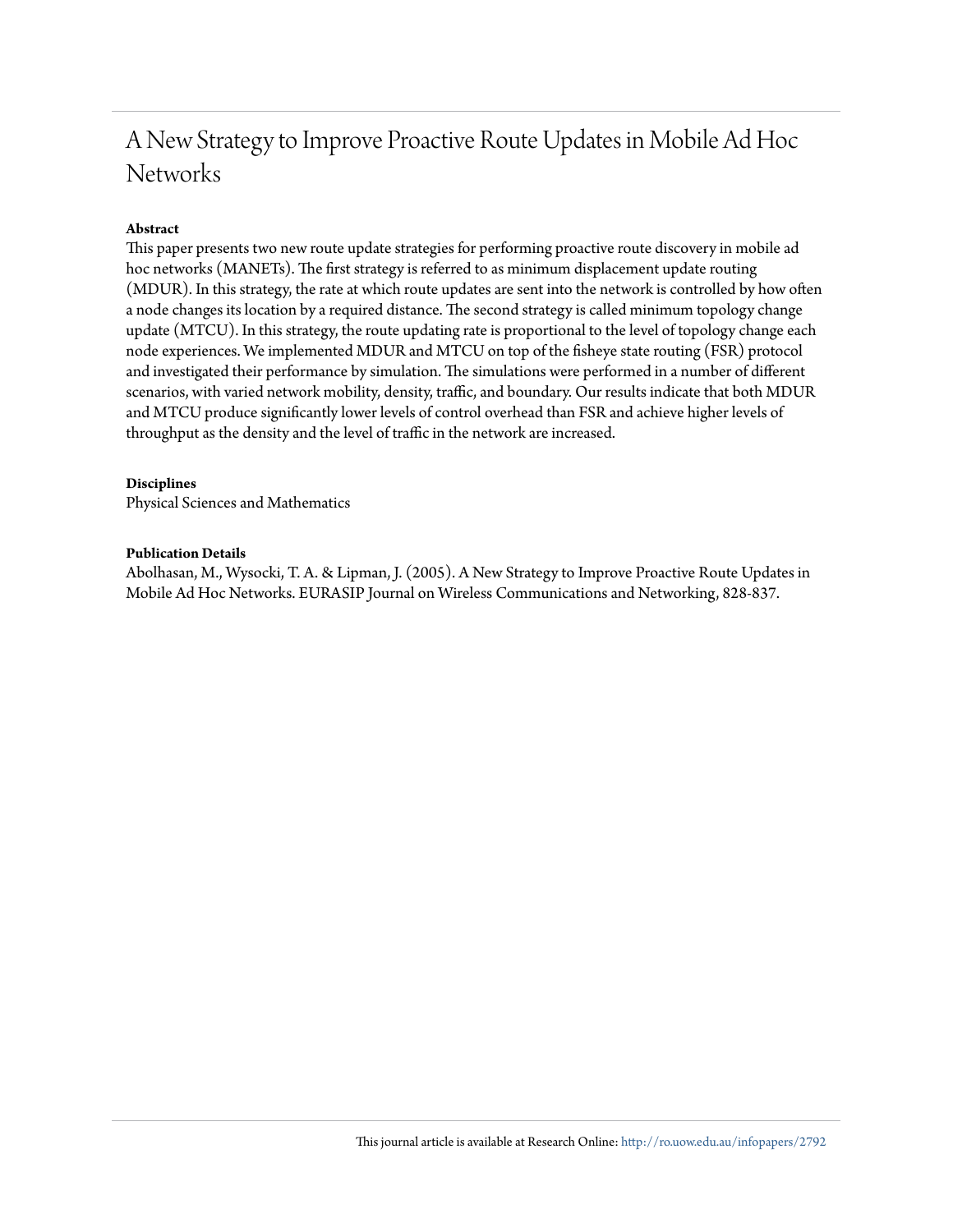# A New Strategy to Improve Proactive Route Updates in Mobile Ad Hoc **Networks**

# **Abstract**

This paper presents two new route update strategies for performing proactive route discovery in mobile ad hoc networks (MANETs). The first strategy is referred to as minimum displacement update routing (MDUR). In this strategy, the rate at which route updates are sent into the network is controlled by how often a node changes its location by a required distance. The second strategy is called minimum topology change update (MTCU). In this strategy, the route updating rate is proportional to the level of topology change each node experiences. We implemented MDUR and MTCU on top of the fisheye state routing (FSR) protocol and investigated their performance by simulation. The simulations were performed in a number of different scenarios, with varied network mobility, density, traffic, and boundary. Our results indicate that both MDUR and MTCU produce significantly lower levels of control overhead than FSR and achieve higher levels of throughput as the density and the level of traffic in the network are increased.

# **Disciplines**

Physical Sciences and Mathematics

# **Publication Details**

Abolhasan, M., Wysocki, T. A. & Lipman, J. (2005). A New Strategy to Improve Proactive Route Updates in Mobile Ad Hoc Networks. EURASIP Journal on Wireless Communications and Networking, 828-837.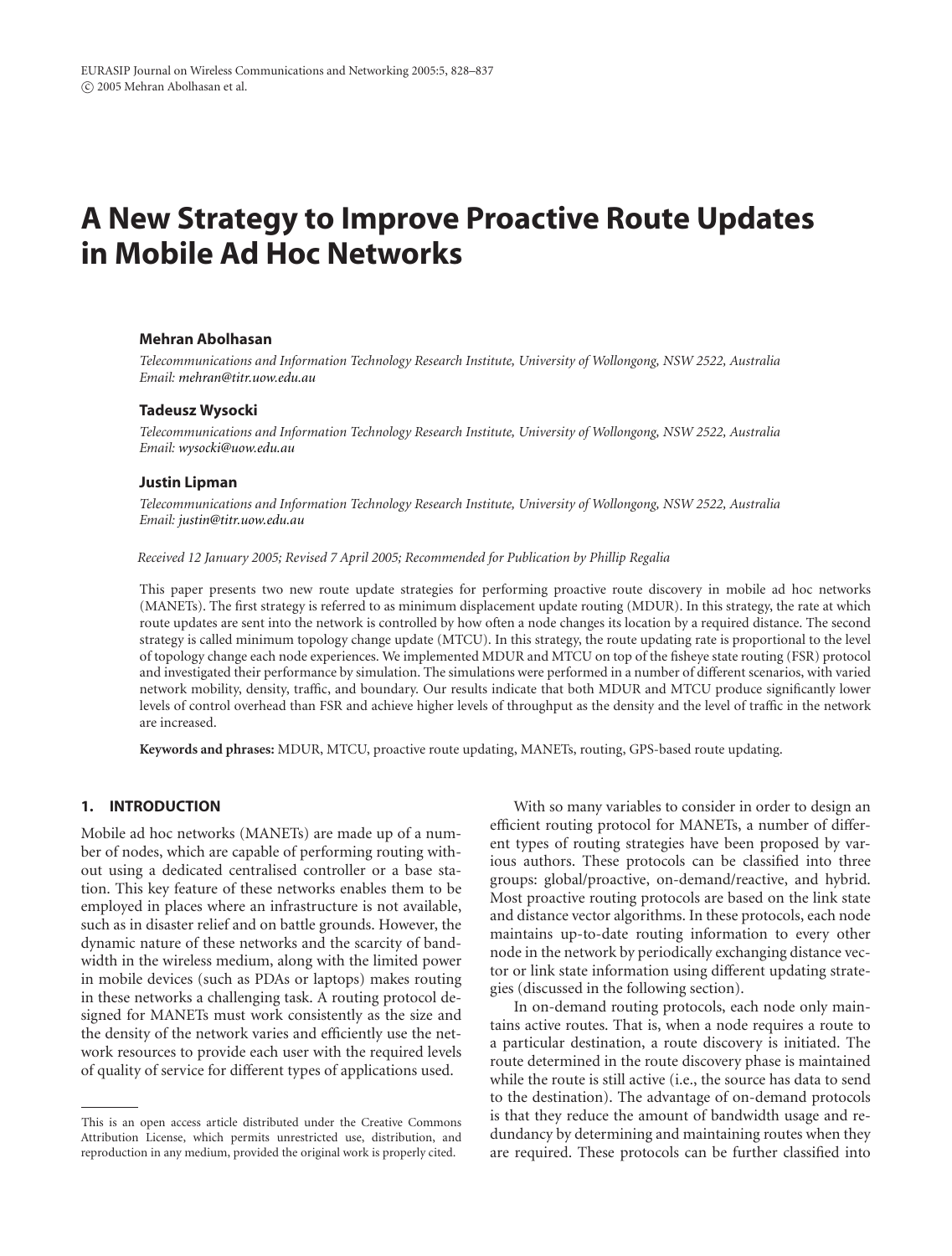# **A New Strategy to Improve Proactive Route Updates in Mobile Ad Hoc Networks**

#### **Mehran Abolhasan**

*Telecommunications and Information Technology Research Institute, University of Wollongong, NSW 2522, Australia Email: [mehran@titr.uow.edu.au](mailto:mehran@titr.uow.edu.au)*

### **Tadeusz Wysocki**

*Telecommunications and Information Technology Research Institute, University of Wollongong, NSW 2522, Australia Email: [wysocki@uow.edu.au](mailto:wysocki@uow.edu.au)*

#### **Justin Lipman**

*Telecommunications and Information Technology Research Institute, University of Wollongong, NSW 2522, Australia Email: [justin@titr.uow.edu.au](mailto:justin@titr.uow.edu.au)*

*Received 12 January 2005; Revised 7 April 2005; Recommended for Publication by Phillip Regalia*

This paper presents two new route update strategies for performing proactive route discovery in mobile ad hoc networks (MANETs). The first strategy is referred to as minimum displacement update routing (MDUR). In this strategy, the rate at which route updates are sent into the network is controlled by how often a node changes its location by a required distance. The second strategy is called minimum topology change update (MTCU). In this strategy, the route updating rate is proportional to the level of topology change each node experiences. We implemented MDUR and MTCU on top of the fisheye state routing (FSR) protocol and investigated their performance by simulation. The simulations were performed in a number of different scenarios, with varied network mobility, density, traffic, and boundary. Our results indicate that both MDUR and MTCU produce significantly lower levels of control overhead than FSR and achieve higher levels of throughput as the density and the level of traffic in the network are increased.

**Keywords and phrases:** MDUR, MTCU, proactive route updating, MANETs, routing, GPS-based route updating.

### **1. INTRODUCTION**

Mobile ad hoc networks (MANETs) are made up of a number of nodes, which are capable of performing routing without using a dedicated centralised controller or a base station. This key feature of these networks enables them to be employed in places where an infrastructure is not available, such as in disaster relief and on battle grounds. However, the dynamic nature of these networks and the scarcity of bandwidth in the wireless medium, along with the limited power in mobile devices (such as PDAs or laptops) makes routing in these networks a challenging task. A routing protocol designed for MANETs must work consistently as the size and the density of the network varies and efficiently use the network resources to provide each user with the required levels of quality of service for different types of applications used.

With so many variables to consider in order to design an efficient routing protocol for MANETs, a number of different types of routing strategies have been proposed by various authors. These protocols can be classified into three groups: global/proactive, on-demand/reactive, and hybrid. Most proactive routing protocols are based on the link state and distance vector algorithms. In these protocols, each node maintains up-to-date routing information to every other node in the network by periodically exchanging distance vector or link state information using different updating strategies (discussed in the following section).

In on-demand routing protocols, each node only maintains active routes. That is, when a node requires a route to a particular destination, a route discovery is initiated. The route determined in the route discovery phase is maintained while the route is still active (i.e., the source has data to send to the destination). The advantage of on-demand protocols is that they reduce the amount of bandwidth usage and redundancy by determining and maintaining routes when they are required. These protocols can be further classified into

This is an open access article distributed under the Creative Commons Attribution License, which permits unrestricted use, distribution, and reproduction in any medium, provided the original work is properly cited.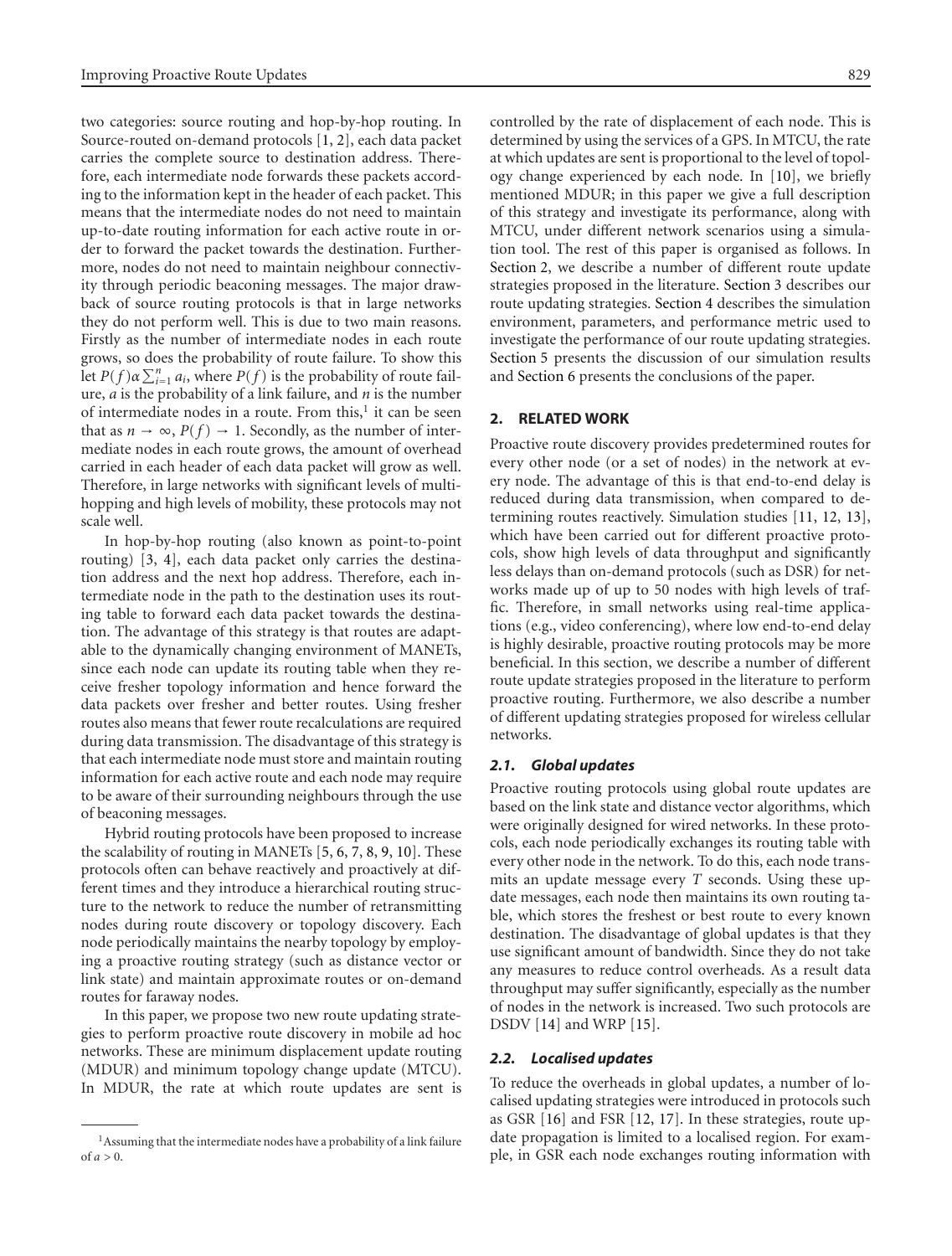two categories: source routing and hop-by-hop routing. In Source-routed on-demand protocols [\[1,](#page-9-0) [2](#page-9-1)], each data packet carries the complete source to destination address. Therefore, each intermediate node forwards these packets according to the information kept in the header of each packet. This means that the intermediate nodes do not need to maintain up-to-date routing information for each active route in order to forward the packet towards the destination. Furthermore, nodes do not need to maintain neighbour connectivity through periodic beaconing messages. The major drawback of source routing protocols is that in large networks they do not perform well. This is due to two main reasons. Firstly as the number of intermediate nodes in each route grows, so does the probability of route failure. To show this let  $P(f)$   $\alpha \sum_{i=1}^{n} a_i$ , where  $P(f)$  is the probability of route failure, *a* is the probability of a link failure, and *n* is the number of intermediate nodes in a route. From this, $<sup>1</sup>$  it can be seen</sup> that as  $n \to \infty$ ,  $P(f) \to 1$ . Secondly, as the number of intermediate nodes in each route grows, the amount of overhead carried in each header of each data packet will grow as well. Therefore, in large networks with significant levels of multihopping and high levels of mobility, these protocols may not scale well.

In hop-by-hop routing (also known as point-to-point routing) [\[3,](#page-10-0) [4\]](#page-10-1), each data packet only carries the destination address and the next hop address. Therefore, each intermediate node in the path to the destination uses its routing table to forward each data packet towards the destination. The advantage of this strategy is that routes are adaptable to the dynamically changing environment of MANETs, since each node can update its routing table when they receive fresher topology information and hence forward the data packets over fresher and better routes. Using fresher routes also means that fewer route recalculations are required during data transmission. The disadvantage of this strategy is that each intermediate node must store and maintain routing information for each active route and each node may require to be aware of their surrounding neighbours through the use of beaconing messages.

Hybrid routing protocols have been proposed to increase the scalability of routing in MANETs [\[5,](#page-10-2) [6](#page-10-3), [7](#page-10-4), [8,](#page-10-5) [9](#page-10-6), [10](#page-10-7)]. These protocols often can behave reactively and proactively at different times and they introduce a hierarchical routing structure to the network to reduce the number of retransmitting nodes during route discovery or topology discovery. Each node periodically maintains the nearby topology by employing a proactive routing strategy (such as distance vector or link state) and maintain approximate routes or on-demand routes for faraway nodes.

In this paper, we propose two new route updating strategies to perform proactive route discovery in mobile ad hoc networks. These are minimum displacement update routing (MDUR) and minimum topology change update (MTCU). In MDUR, the rate at which route updates are sent is

controlled by the rate of displacement of each node. This is determined by using the services of a GPS. In MTCU, the rate at which updates are sent is proportional to the level of topology change experienced by each node. In [\[10\]](#page-10-7), we briefly mentioned MDUR; in this paper we give a full description of this strategy and investigate its performance, along with MTCU, under different network scenarios using a simulation tool. The rest of this paper is organised as follows. In [Section 2,](#page-3-0) we describe a number of different route update strategies proposed in the literature. [Section 3](#page-4-0) describes our route updating strategies. [Section 4](#page-7-0) describes the simulation environment, parameters, and performance metric used to investigate the performance of our route updating strategies. [Section 5](#page-8-0) presents the discussion of our simulation results and [Section 6](#page-9-2) presents the conclusions of the paper.

#### <span id="page-3-0"></span>**2. RELATED WORK**

Proactive route discovery provides predetermined routes for every other node (or a set of nodes) in the network at every node. The advantage of this is that end-to-end delay is reduced during data transmission, when compared to determining routes reactively. Simulation studies [\[11,](#page-10-8) [12,](#page-10-9) [13](#page-10-10)], which have been carried out for different proactive protocols, show high levels of data throughput and significantly less delays than on-demand protocols (such as DSR) for networks made up of up to 50 nodes with high levels of traffic. Therefore, in small networks using real-time applications (e.g., video conferencing), where low end-to-end delay is highly desirable, proactive routing protocols may be more beneficial. In this section, we describe a number of different route update strategies proposed in the literature to perform proactive routing. Furthermore, we also describe a number of different updating strategies proposed for wireless cellular networks.

#### *2.1. Global updates*

Proactive routing protocols using global route updates are based on the link state and distance vector algorithms, which were originally designed for wired networks. In these protocols, each node periodically exchanges its routing table with every other node in the network. To do this, each node transmits an update message every *T* seconds. Using these update messages, each node then maintains its own routing table, which stores the freshest or best route to every known destination. The disadvantage of global updates is that they use significant amount of bandwidth. Since they do not take any measures to reduce control overheads. As a result data throughput may suffer significantly, especially as the number of nodes in the network is increased. Two such protocols are  $DSDV$  [\[14](#page-10-11)] and WRP [\[15](#page-10-12)].

#### *2.2. Localised updates*

To reduce the overheads in global updates, a number of localised updating strategies were introduced in protocols such as GSR [\[16\]](#page-10-13) and FSR [\[12](#page-10-9), [17](#page-10-14)]. In these strategies, route update propagation is limited to a localised region. For example, in GSR each node exchanges routing information with

<sup>&</sup>lt;sup>1</sup> Assuming that the intermediate nodes have a probability of a link failure of  $a > 0$ .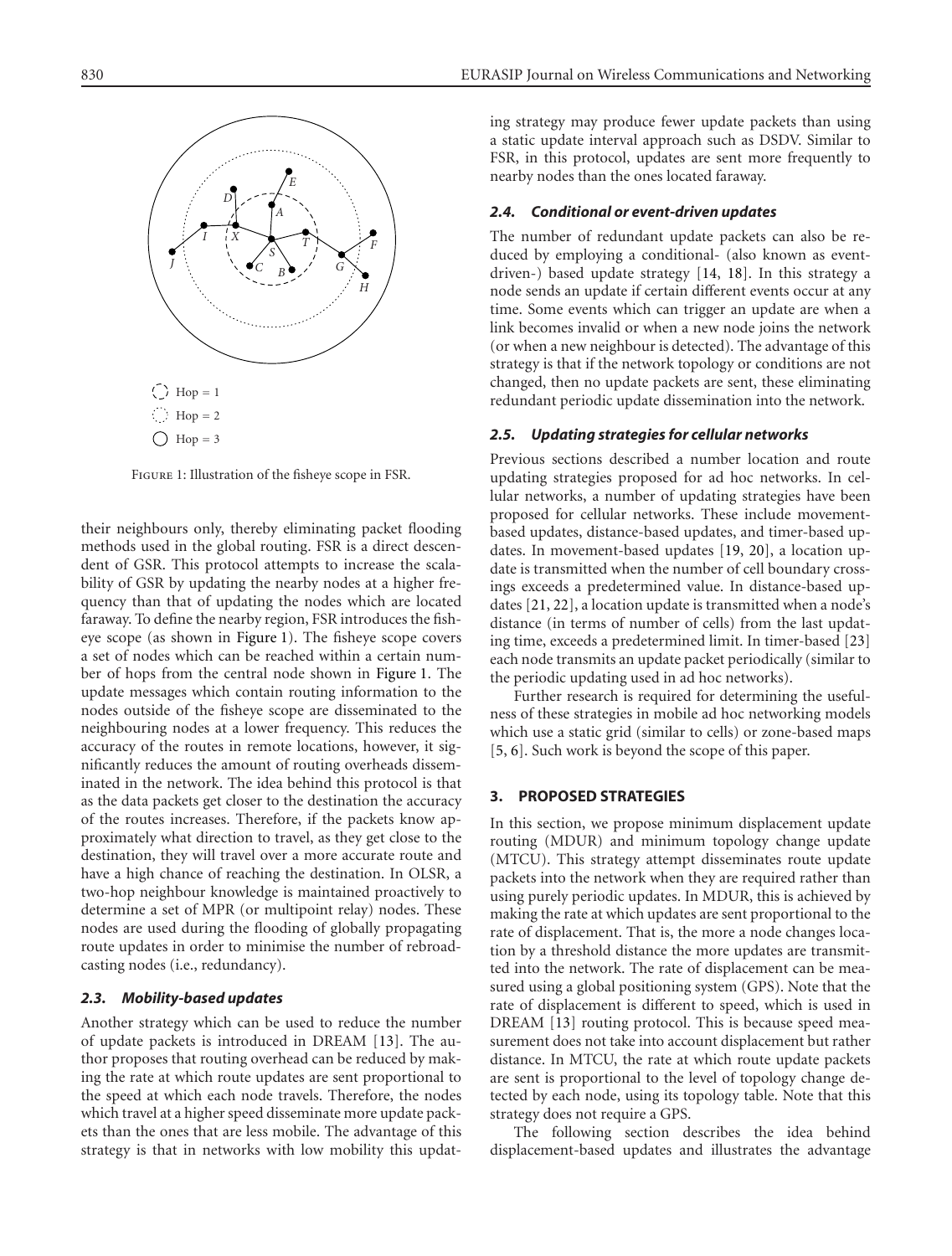

Figure 1: Illustration of the fisheye scope in FSR.

<span id="page-4-1"></span>their neighbours only, thereby eliminating packet flooding methods used in the global routing. FSR is a direct descendent of GSR. This protocol attempts to increase the scalability of GSR by updating the nearby nodes at a higher frequency than that of updating the nodes which are located faraway. To define the nearby region, FSR introduces the fisheye scope (as shown in [Figure 1\)](#page-4-1). The fisheye scope covers a set of nodes which can be reached within a certain number of hops from the central node shown in [Figure 1.](#page-4-1) The update messages which contain routing information to the nodes outside of the fisheye scope are disseminated to the neighbouring nodes at a lower frequency. This reduces the accuracy of the routes in remote locations, however, it significantly reduces the amount of routing overheads disseminated in the network. The idea behind this protocol is that as the data packets get closer to the destination the accuracy of the routes increases. Therefore, if the packets know approximately what direction to travel, as they get close to the destination, they will travel over a more accurate route and have a high chance of reaching the destination. In OLSR, a two-hop neighbour knowledge is maintained proactively to determine a set of MPR (or multipoint relay) nodes. These nodes are used during the flooding of globally propagating route updates in order to minimise the number of rebroadcasting nodes (i.e., redundancy).

#### *2.3. Mobility-based updates*

Another strategy which can be used to reduce the number of update packets is introduced in DREAM [\[13](#page-10-10)]. The author proposes that routing overhead can be reduced by making the rate at which route updates are sent proportional to the speed at which each node travels. Therefore, the nodes which travel at a higher speed disseminate more update packets than the ones that are less mobile. The advantage of this strategy is that in networks with low mobility this updating strategy may produce fewer update packets than using a static update interval approach such as DSDV. Similar to FSR, in this protocol, updates are sent more frequently to nearby nodes than the ones located faraway.

#### *2.4. Conditional or event-driven updates*

The number of redundant update packets can also be reduced by employing a conditional- (also known as eventdriven-) based update strategy [\[14](#page-10-11), [18](#page-10-15)]. In this strategy a node sends an update if certain different events occur at any time. Some events which can trigger an update are when a link becomes invalid or when a new node joins the network (or when a new neighbour is detected). The advantage of this strategy is that if the network topology or conditions are not changed, then no update packets are sent, these eliminating redundant periodic update dissemination into the network.

#### *2.5. Updating strategies for cellular networks*

Previous sections described a number location and route updating strategies proposed for ad hoc networks. In cellular networks, a number of updating strategies have been proposed for cellular networks. These include movementbased updates, distance-based updates, and timer-based updates. In movement-based updates [\[19,](#page-10-16) [20\]](#page-10-17), a location update is transmitted when the number of cell boundary crossings exceeds a predetermined value. In distance-based updates [\[21,](#page-10-18) [22\]](#page-10-19), a location update is transmitted when a node's distance (in terms of number of cells) from the last updating time, exceeds a predetermined limit. In timer-based [\[23](#page-10-20)] each node transmits an update packet periodically (similar to the periodic updating used in ad hoc networks).

Further research is required for determining the usefulness of these strategies in mobile ad hoc networking models which use a static grid (similar to cells) or zone-based maps [\[5](#page-10-2), [6\]](#page-10-3). Such work is beyond the scope of this paper.

#### <span id="page-4-0"></span>**3. PROPOSED STRATEGIES**

In this section, we propose minimum displacement update routing (MDUR) and minimum topology change update (MTCU). This strategy attempt disseminates route update packets into the network when they are required rather than using purely periodic updates. In MDUR, this is achieved by making the rate at which updates are sent proportional to the rate of displacement. That is, the more a node changes location by a threshold distance the more updates are transmitted into the network. The rate of displacement can be measured using a global positioning system (GPS). Note that the rate of displacement is different to speed, which is used in DREAM [\[13\]](#page-10-10) routing protocol. This is because speed measurement does not take into account displacement but rather distance. In MTCU, the rate at which route update packets are sent is proportional to the level of topology change detected by each node, using its topology table. Note that this strategy does not require a GPS.

The following section describes the idea behind displacement-based updates and illustrates the advantage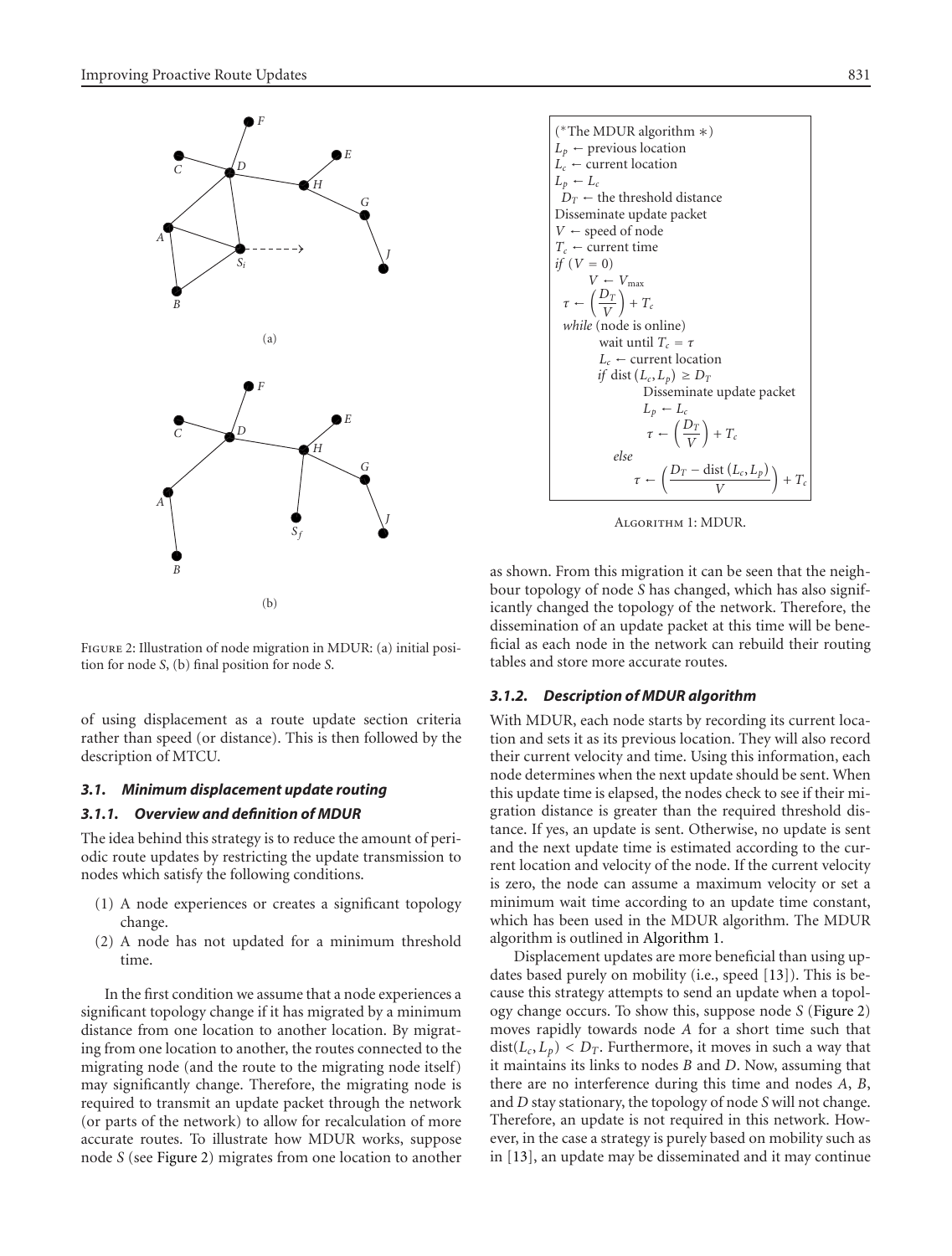



<span id="page-5-1"></span>Algorithm 1: MDUR.

<span id="page-5-0"></span>Figure 2: Illustration of node migration in MDUR: (a) initial position for node *S*, (b) final position for node *S*.

of using displacement as a route update section criteria rather than speed (or distance). This is then followed by the description of MTCU.

#### *3.1. Minimum displacement update routing*

#### *3.1.1. Overview and definition of MDUR*

The idea behind this strategy is to reduce the amount of periodic route updates by restricting the update transmission to nodes which satisfy the following conditions.

- (1) A node experiences or creates a significant topology change.
- (2) A node has not updated for a minimum threshold time.

In the first condition we assume that a node experiences a significant topology change if it has migrated by a minimum distance from one location to another location. By migrating from one location to another, the routes connected to the migrating node (and the route to the migrating node itself) may significantly change. Therefore, the migrating node is required to transmit an update packet through the network (or parts of the network) to allow for recalculation of more accurate routes. To illustrate how MDUR works, suppose node *S* (see [Figure 2\)](#page-5-0) migrates from one location to another

as shown. From this migration it can be seen that the neighbour topology of node *S* has changed, which has also significantly changed the topology of the network. Therefore, the dissemination of an update packet at this time will be beneficial as each node in the network can rebuild their routing tables and store more accurate routes.

#### *3.1.2. Description of MDUR algorithm*

With MDUR, each node starts by recording its current location and sets it as its previous location. They will also record their current velocity and time. Using this information, each node determines when the next update should be sent. When this update time is elapsed, the nodes check to see if their migration distance is greater than the required threshold distance. If yes, an update is sent. Otherwise, no update is sent and the next update time is estimated according to the current location and velocity of the node. If the current velocity is zero, the node can assume a maximum velocity or set a minimum wait time according to an update time constant, which has been used in the MDUR algorithm. The MDUR algorithm is outlined in [Algorithm 1.](#page-5-1)

Displacement updates are more beneficial than using updates based purely on mobility (i.e., speed [\[13](#page-10-10)]). This is because this strategy attempts to send an update when a topology change occurs. To show this, suppose node *S* [\(Figure 2\)](#page-5-0) moves rapidly towards node *A* for a short time such that  $dist(L_c, L_p) < D_T$ . Furthermore, it moves in such a way that it maintains its links to nodes *B* and *D*. Now, assuming that there are no interference during this time and nodes *A*, *B*, and *D* stay stationary, the topology of node *S* will not change. Therefore, an update is not required in this network. However, in the case a strategy is purely based on mobility such as in [\[13\]](#page-10-10), an update may be disseminated and it may continue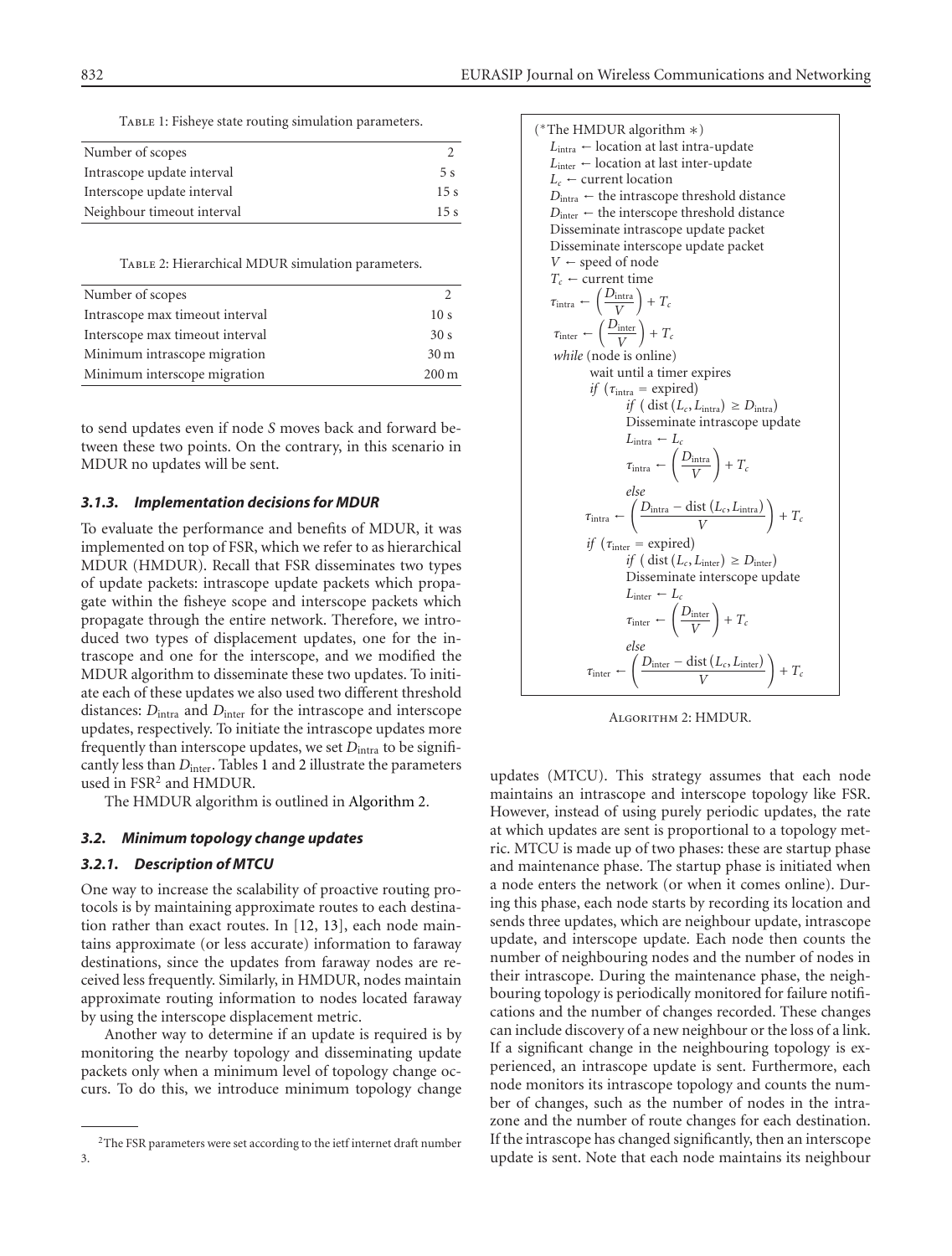TABLE 1: Fisheye state routing simulation parameters.

<span id="page-6-0"></span>

| Number of scopes           |     |
|----------------------------|-----|
| Intrascope update interval | 5 s |
| Interscope update interval | 15s |
| Neighbour timeout interval | 15s |

TABLE 2: Hierarchical MDUR simulation parameters.

<span id="page-6-1"></span>

| Number of scopes                |                    |
|---------------------------------|--------------------|
| Intrascope max timeout interval | 10 <sub>s</sub>    |
| Interscope max timeout interval | 30 <sub>s</sub>    |
| Minimum intrascope migration    | 30 <sub>m</sub>    |
| Minimum interscope migration    | $200 \,\mathrm{m}$ |

to send updates even if node *S* moves back and forward between these two points. On the contrary, in this scenario in MDUR no updates will be sent.

#### *3.1.3. Implementation decisions for MDUR*

To evaluate the performance and benefits of MDUR, it was implemented on top of FSR, which we refer to as hierarchical MDUR (HMDUR). Recall that FSR disseminates two types of update packets: intrascope update packets which propagate within the fisheye scope and interscope packets which propagate through the entire network. Therefore, we introduced two types of displacement updates, one for the intrascope and one for the interscope, and we modified the MDUR algorithm to disseminate these two updates. To initiate each of these updates we also used two different threshold distances:  $D_{\text{intra}}$  and  $D_{\text{inter}}$  for the intrascope and interscope updates, respectively. To initiate the intrascope updates more frequently than interscope updates, we set  $D<sub>intra</sub>$  to be significantly less than *D*inter. Tables [1](#page-6-0) and [2](#page-6-1) illustrate the parameters used in FSR<sup>2</sup> and HMDUR.

The HMDUR algorithm is outlined in [Algorithm 2.](#page-6-2)

### *3.2. Minimum topology change updates*

#### *3.2.1. Description of MTCU*

One way to increase the scalability of proactive routing protocols is by maintaining approximate routes to each destination rather than exact routes. In [\[12](#page-10-9), [13](#page-10-10)], each node maintains approximate (or less accurate) information to faraway destinations, since the updates from faraway nodes are received less frequently. Similarly, in HMDUR, nodes maintain approximate routing information to nodes located faraway by using the interscope displacement metric.

Another way to determine if an update is required is by monitoring the nearby topology and disseminating update packets only when a minimum level of topology change occurs. To do this, we introduce minimum topology change (∗The HMDUR algorithm ∗)  $L_{intra}$  ← location at last intra-update  $L<sub>inter</sub>$  ← location at last inter-update  $L_c \leftarrow$  current location  $D_{\text{intra}} \leftarrow$  the intrascope threshold distance  $D_{\text{inter}} \leftarrow$  the interscope threshold distance Disseminate intrascope update packet Disseminate interscope update packet *<sup>V</sup>* <sup>←</sup> speed of node  $T_c$  ← current time  $\tau_{\text{intra}} \leftarrow \left(\frac{D_{\text{intra}}}{V}\right)$ *V*  $+ T_c$  $\tau_{\text{inter}} \leftarrow \left(\frac{D_{\text{inter}}}{V}\right)$ *V*  $+ T_c$ *while* (node is online) wait until a timer expires *if*  $(\tau_{intra} =$  expired) *if*  $(dist (L_c, L_{intra}) \ge D_{intra})$ Disseminate intrascope update  $L_{\text{intra}} \leftarrow L_c$  $\tau_{\text{intra}} \leftarrow \left(\frac{D_{\text{intra}}}{V}\right)$ *V*  $+ T_c$ *else*  $\tau_{\text{intra}} \leftarrow \left( \frac{D_{\text{intra}} - \text{dist}(L_c, L_{\text{intra}})}{V} \right)$ *V*  $+ T_c$ *if*  $(\tau_{\text{inter}} = \text{expired})$ *if*  $(dist (L_c, L_{inter}) \ge D_{inter})$ Disseminate interscope update  $L_{\text{inter}} \leftarrow L_c$  $\tau_{\text{inter}} \leftarrow \left(\frac{D_{\text{inter}}}{V}\right)$ *V*  $+ T_c$ *else*<br>├─<u>Dinter ─ dist (*L<sub>c</sub>*, *L*inter)</u>  $\tau$ <sub>inter</sub> ← *V*  $\backslash$  $+ T_c$ 

<span id="page-6-2"></span>Algorithm 2: HMDUR.

updates (MTCU). This strategy assumes that each node maintains an intrascope and interscope topology like FSR. However, instead of using purely periodic updates, the rate at which updates are sent is proportional to a topology metric. MTCU is made up of two phases: these are startup phase and maintenance phase. The startup phase is initiated when a node enters the network (or when it comes online). During this phase, each node starts by recording its location and sends three updates, which are neighbour update, intrascope update, and interscope update. Each node then counts the number of neighbouring nodes and the number of nodes in their intrascope. During the maintenance phase, the neighbouring topology is periodically monitored for failure notifications and the number of changes recorded. These changes can include discovery of a new neighbour or the loss of a link. If a significant change in the neighbouring topology is experienced, an intrascope update is sent. Furthermore, each node monitors its intrascope topology and counts the number of changes, such as the number of nodes in the intrazone and the number of route changes for each destination. If the intrascope has changed significantly, then an interscope update is sent. Note that each node maintains its neighbour

<sup>&</sup>lt;sup>2</sup>The FSR parameters were set according to the ietf internet draft number 3.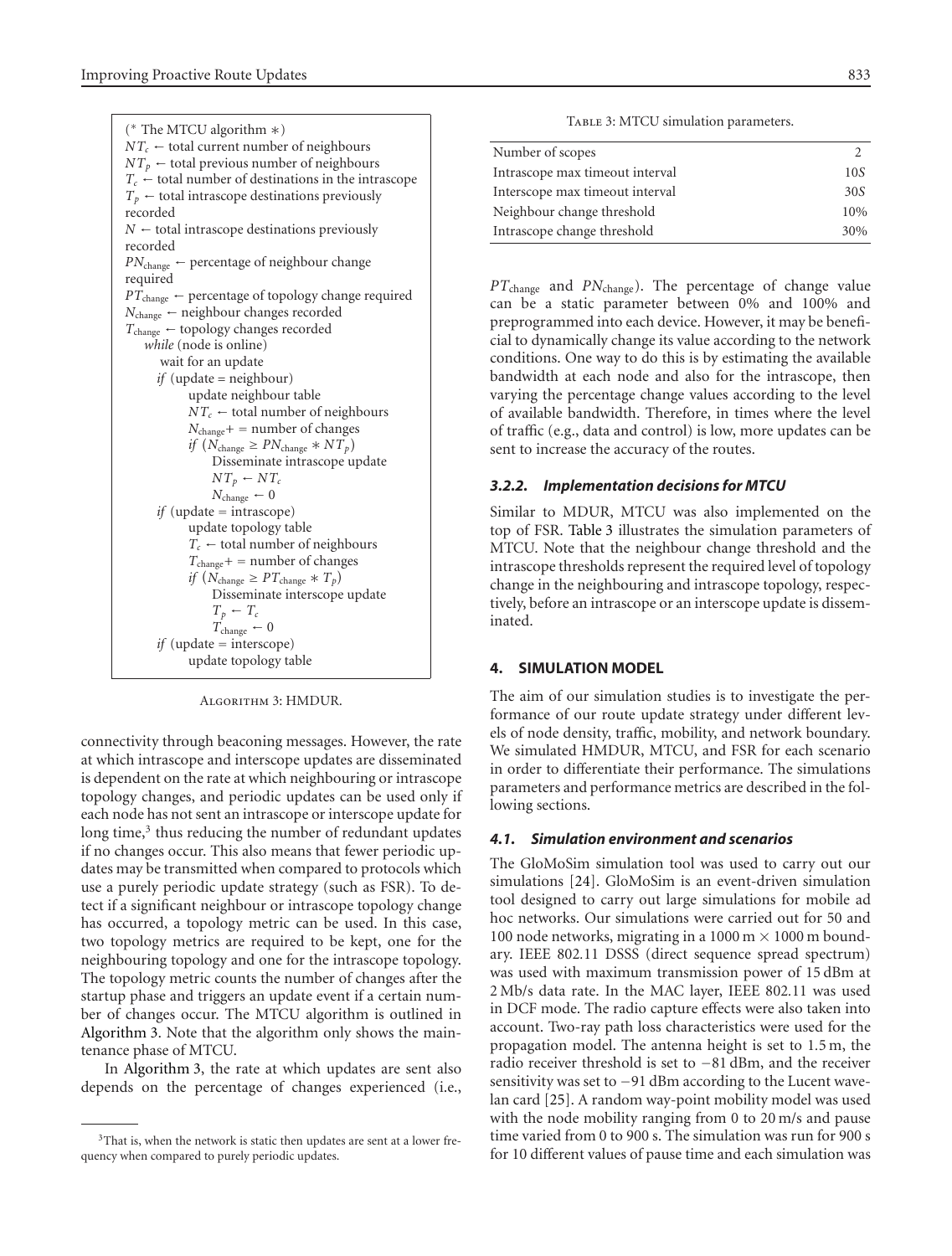(<sup>∗</sup> The MTCU algorithm ∗)  $NT_c$  ← total current number of neighbours  $NT_p \leftarrow$  total previous number of neighbours  $T_c$  ← total number of destinations in the intrascope  $T_p \leftarrow$  total intrascope destinations previously recorded  $N \leftarrow$  total intrascope destinations previously recorded *PN*<sub>change</sub> ← percentage of neighbour change required  $PT_{change} \leftarrow$  percentage of topology change required *<sup>N</sup>*change <sup>←</sup> neighbour changes recorded *<sup>T</sup>*change <sup>←</sup> topology changes recorded *while* (node is online) wait for an update *if* (update = neighbour) update neighbour table  $NT_c$  ← total number of neighbours *<sup>N</sup>*change+ <sup>=</sup> number of changes *if*  $(N_{\text{change}} \geq PN_{\text{change}} * NT_p)$ Disseminate intrascope update  $NT_p \leftarrow NT_c$  $N_{change} \leftarrow 0$ *if* (update = intrascope) update topology table  $T_c$  ← total number of neighbours  $T_{change}$ + = number of changes *if*  $(N_{\text{change}} \geq PT_{\text{change}} * T_p)$ Disseminate interscope update  $T_p \leftarrow T_c$  $T_{\text{change}} \leftarrow 0$ *if* (update = interscope) update topology table

<span id="page-7-1"></span>Algorithm 3: HMDUR.

connectivity through beaconing messages. However, the rate at which intrascope and interscope updates are disseminated is dependent on the rate at which neighbouring or intrascope topology changes, and periodic updates can be used only if each node has not sent an intrascope or interscope update for long time, $3$  thus reducing the number of redundant updates if no changes occur. This also means that fewer periodic updates may be transmitted when compared to protocols which use a purely periodic update strategy (such as FSR). To detect if a significant neighbour or intrascope topology change has occurred, a topology metric can be used. In this case, two topology metrics are required to be kept, one for the neighbouring topology and one for the intrascope topology. The topology metric counts the number of changes after the startup phase and triggers an update event if a certain number of changes occur. The MTCU algorithm is outlined in [Algorithm 3.](#page-7-1) Note that the algorithm only shows the maintenance phase of MTCU.

In [Algorithm 3,](#page-7-1) the rate at which updates are sent also depends on the percentage of changes experienced (i.e.,

TABLE 3: MTCU simulation parameters.

<span id="page-7-2"></span>

| Number of scopes                |     |
|---------------------------------|-----|
| Intrascope max timeout interval | 10S |
| Interscope max timeout interval | 30S |
| Neighbour change threshold      | 10% |
| Intrascope change threshold     | 30% |

*PT*change and *PN*change). The percentage of change value can be a static parameter between 0% and 100% and preprogrammed into each device. However, it may be beneficial to dynamically change its value according to the network conditions. One way to do this is by estimating the available bandwidth at each node and also for the intrascope, then varying the percentage change values according to the level of available bandwidth. Therefore, in times where the level of traffic (e.g., data and control) is low, more updates can be sent to increase the accuracy of the routes.

#### *3.2.2. Implementation decisions for MTCU*

Similar to MDUR, MTCU was also implemented on the top of FSR. [Table 3](#page-7-2) illustrates the simulation parameters of MTCU. Note that the neighbour change threshold and the intrascope thresholds represent the required level of topology change in the neighbouring and intrascope topology, respectively, before an intrascope or an interscope update is disseminated.

#### <span id="page-7-0"></span>**4. SIMULATION MODEL**

The aim of our simulation studies is to investigate the performance of our route update strategy under different levels of node density, traffic, mobility, and network boundary. We simulated HMDUR, MTCU, and FSR for each scenario in order to differentiate their performance. The simulations parameters and performance metrics are described in the following sections.

#### *4.1. Simulation environment and scenarios*

The GloMoSim simulation tool was used to carry out our simulations [\[24](#page-10-21)]. GloMoSim is an event-driven simulation tool designed to carry out large simulations for mobile ad hoc networks. Our simulations were carried out for 50 and 100 node networks, migrating in a 1000 m  $\times$  1000 m boundary. IEEE 802*.*11 DSSS (direct sequence spread spectrum) was used with maximum transmission power of 15 dBm at 2 Mb/s data rate. In the MAC layer, IEEE 802*.*11 was used in DCF mode. The radio capture effects were also taken into account. Two-ray path loss characteristics were used for the propagation model. The antenna height is set to 1*.*5 m, the radio receiver threshold is set to −81 dBm, and the receiver sensitivity was set to −91 dBm according to the Lucent wavelan card [\[25](#page-10-22)]. A random way-point mobility model was used with the node mobility ranging from 0 to 20 m/s and pause time varied from 0 to 900 s. The simulation was run for 900 s for 10 different values of pause time and each simulation was

<sup>&</sup>lt;sup>3</sup>That is, when the network is static then updates are sent at a lower frequency when compared to purely periodic updates.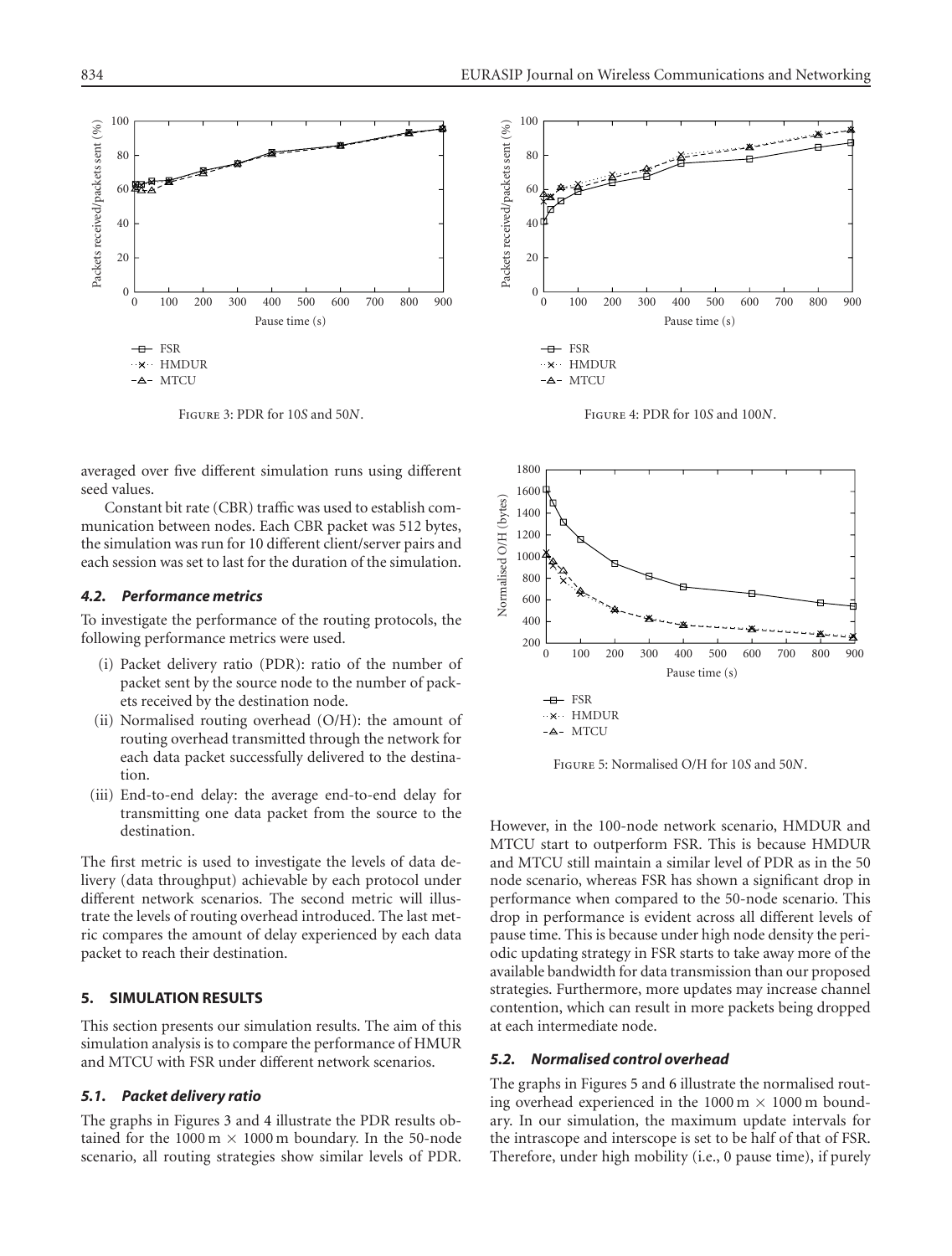

<span id="page-8-1"></span>Figure 3: PDR for 10*S* and 50*N*.

averaged over five different simulation runs using different seed values.

Constant bit rate (CBR) traffic was used to establish communication between nodes. Each CBR packet was 512 bytes, the simulation was run for 10 different client/server pairs and each session was set to last for the duration of the simulation.

### *4.2. Performance metrics*

To investigate the performance of the routing protocols, the following performance metrics were used.

- (i) Packet delivery ratio (PDR): ratio of the number of packet sent by the source node to the number of packets received by the destination node.
- (ii) Normalised routing overhead (O/H): the amount of routing overhead transmitted through the network for each data packet successfully delivered to the destination.
- (iii) End-to-end delay: the average end-to-end delay for transmitting one data packet from the source to the destination.

The first metric is used to investigate the levels of data delivery (data throughput) achievable by each protocol under different network scenarios. The second metric will illustrate the levels of routing overhead introduced. The last metric compares the amount of delay experienced by each data packet to reach their destination.

## <span id="page-8-0"></span>**5. SIMULATION RESULTS**

This section presents our simulation results. The aim of this simulation analysis is to compare the performance of HMUR and MTCU with FSR under different network scenarios.

#### *5.1. Packet delivery ratio*

The graphs in Figures [3](#page-8-1) and [4](#page-8-2) illustrate the PDR results obtained for the  $1000 \text{ m} \times 1000 \text{ m}$  boundary. In the 50-node scenario, all routing strategies show similar levels of PDR.



<span id="page-8-2"></span>Figure 4: PDR for 10*S* and 100*N*.



Figure 5: Normalised O/H for 10*S* and 50*N*.

<span id="page-8-3"></span>However, in the 100-node network scenario, HMDUR and MTCU start to outperform FSR. This is because HMDUR and MTCU still maintain a similar level of PDR as in the 50 node scenario, whereas FSR has shown a significant drop in performance when compared to the 50-node scenario. This drop in performance is evident across all different levels of pause time. This is because under high node density the periodic updating strategy in FSR starts to take away more of the available bandwidth for data transmission than our proposed strategies. Furthermore, more updates may increase channel contention, which can result in more packets being dropped at each intermediate node.

#### *5.2. Normalised control overhead*

The graphs in Figures [5](#page-8-3) and [6](#page-9-3) illustrate the normalised routing overhead experienced in the  $1000 \text{ m} \times 1000 \text{ m}$  boundary. In our simulation, the maximum update intervals for the intrascope and interscope is set to be half of that of FSR. Therefore, under high mobility (i.e., 0 pause time), if purely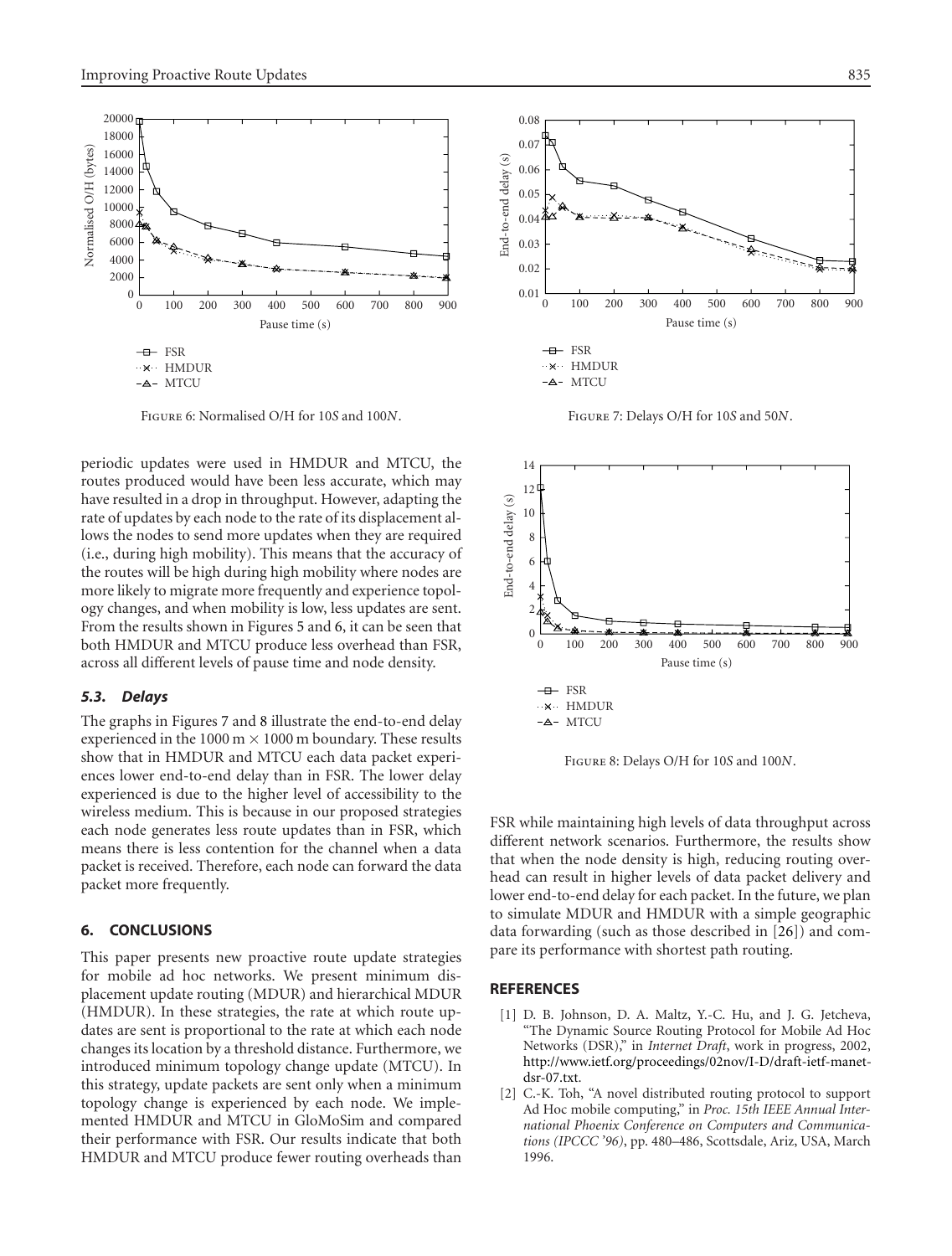

Figure 6: Normalised O/H for 10*S* and 100*N*.

<span id="page-9-3"></span>periodic updates were used in HMDUR and MTCU, the routes produced would have been less accurate, which may have resulted in a drop in throughput. However, adapting the rate of updates by each node to the rate of its displacement allows the nodes to send more updates when they are required (i.e., during high mobility). This means that the accuracy of the routes will be high during high mobility where nodes are more likely to migrate more frequently and experience topology changes, and when mobility is low, less updates are sent. From the results shown in Figures [5](#page-8-3) and [6,](#page-9-3) it can be seen that both HMDUR and MTCU produce less overhead than FSR, across all different levels of pause time and node density.

#### *5.3. Delays*

The graphs in Figures [7](#page-9-4) and [8](#page-9-5) illustrate the end-to-end delay experienced in the 1000 m  $\times$  1000 m boundary. These results show that in HMDUR and MTCU each data packet experiences lower end-to-end delay than in FSR. The lower delay experienced is due to the higher level of accessibility to the wireless medium. This is because in our proposed strategies each node generates less route updates than in FSR, which means there is less contention for the channel when a data packet is received. Therefore, each node can forward the data packet more frequently.

#### <span id="page-9-2"></span>**6. CONCLUSIONS**

This paper presents new proactive route update strategies for mobile ad hoc networks. We present minimum displacement update routing (MDUR) and hierarchical MDUR (HMDUR). In these strategies, the rate at which route updates are sent is proportional to the rate at which each node changes its location by a threshold distance. Furthermore, we introduced minimum topology change update (MTCU). In this strategy, update packets are sent only when a minimum topology change is experienced by each node. We implemented HMDUR and MTCU in GloMoSim and compared their performance with FSR. Our results indicate that both HMDUR and MTCU produce fewer routing overheads than



Figure 7: Delays O/H for 10*S* and 50*N*.

<span id="page-9-4"></span>

Figure 8: Delays O/H for 10*S* and 100*N*.

<span id="page-9-5"></span>FSR while maintaining high levels of data throughput across different network scenarios. Furthermore, the results show that when the node density is high, reducing routing overhead can result in higher levels of data packet delivery and lower end-to-end delay for each packet. In the future, we plan to simulate MDUR and HMDUR with a simple geographic data forwarding (such as those described in [\[26](#page-10-23)]) and compare its performance with shortest path routing.

#### <span id="page-9-0"></span>**REFERENCES**

- [1] D. B. Johnson, D. A. Maltz, Y.-C. Hu, and J. G. Jetcheva, "The Dynamic Source Routing Protocol for Mobile Ad Hoc Networks (DSR)," in *Internet Draft*, work in progress, 2002, [http://www.ietf.org/proceedings/02nov/I-D/draft-ietf-manet](http://www.ietf.org/proceedings/02nov/I-D/draft-ietf-manet-dsr-07.txt)[dsr-07.txt.](http://www.ietf.org/proceedings/02nov/I-D/draft-ietf- manet-dsr-07.txt)
- <span id="page-9-1"></span>[2] C.-K. Toh, "A novel distributed routing protocol to support Ad Hoc mobile computing," in *Proc. 15th IEEE Annual International Phoenix Conference on Computers and Communications (IPCCC '96)*, pp. 480–486, Scottsdale, Ariz, USA, March 1996.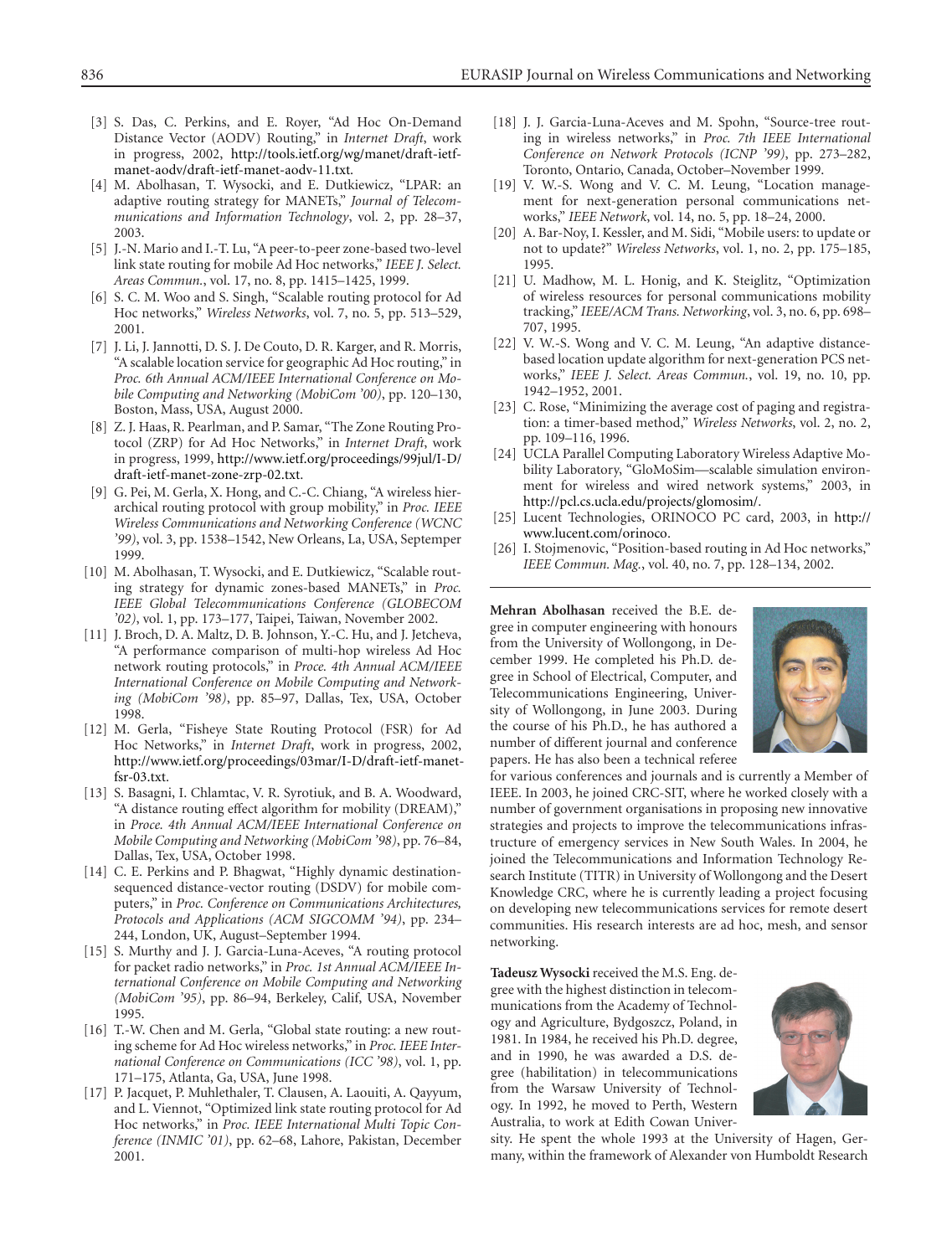- <span id="page-10-0"></span>[3] S. Das, C. Perkins, and E. Royer, "Ad Hoc On-Demand Distance Vector (AODV) Routing," in *Internet Draft*, work in progress, 2002, [http://tools.ietf.org/wg/manet/draft-ietf](http://tools.ietf.org/wg/manet/draft-ietf-manet-aodv/ draft-ietf-manet-aodv-11.txt)[manet-aodv/draft-ietf-manet-aodv-11.txt.](http://tools.ietf.org/wg/manet/draft-ietf-manet-aodv/ draft-ietf-manet-aodv-11.txt)
- <span id="page-10-1"></span>[4] M. Abolhasan, T. Wysocki, and E. Dutkiewicz, "LPAR: an adaptive routing strategy for MANETs," *Journal of Telecommunications and Information Technology*, vol. 2, pp. 28–37, 2003.
- <span id="page-10-2"></span>[5] J.-N. Mario and I.-T. Lu, "A peer-to-peer zone-based two-level link state routing for mobile Ad Hoc networks," *IEEE J. Select. Areas Commun.*, vol. 17, no. 8, pp. 1415–1425, 1999.
- <span id="page-10-3"></span>[6] S. C. M. Woo and S. Singh, "Scalable routing protocol for Ad Hoc networks," *Wireless Networks*, vol. 7, no. 5, pp. 513–529, 2001.
- <span id="page-10-4"></span>[7] J. Li, J. Jannotti, D. S. J. De Couto, D. R. Karger, and R. Morris, "A scalable location service for geographic Ad Hoc routing," in *Proc. 6th Annual ACM/IEEE International Conference on Mobile Computing and Networking (MobiCom '00)*, pp. 120–130, Boston, Mass, USA, August 2000.
- <span id="page-10-5"></span>[8] Z. J. Haas, R. Pearlman, and P. Samar, "The Zone Routing Protocol (ZRP) for Ad Hoc Networks," in *Internet Draft*, work in progress, 1999, [http://www.ietf.org/proceedings/99jul/I-D/](http://www.ietf.org/proceedings/99jul/I-D/draft- ietf-manet-zone-zrp-02.txt) [draft-ietf-manet-zone-zrp-02.txt.](http://www.ietf.org/proceedings/99jul/I-D/draft- ietf-manet-zone-zrp-02.txt)
- <span id="page-10-6"></span>[9] G. Pei, M. Gerla, X. Hong, and C.-C. Chiang, "A wireless hierarchical routing protocol with group mobility," in *Proc. IEEE Wireless Communications and Networking Conference (WCNC '99)*, vol. 3, pp. 1538–1542, New Orleans, La, USA, Septemper 1999.
- <span id="page-10-7"></span>[10] M. Abolhasan, T. Wysocki, and E. Dutkiewicz, "Scalable routing strategy for dynamic zones-based MANETs," in *Proc. IEEE Global Telecommunications Conference (GLOBECOM '02)*, vol. 1, pp. 173–177, Taipei, Taiwan, November 2002.
- <span id="page-10-8"></span>[11] J. Broch, D. A. Maltz, D. B. Johnson, Y.-C. Hu, and J. Jetcheva, "A performance comparison of multi-hop wireless Ad Hoc network routing protocols," in *Proce. 4th Annual ACM/IEEE International Conference on Mobile Computing and Networking (MobiCom '98)*, pp. 85–97, Dallas, Tex, USA, October 1998.
- <span id="page-10-9"></span>[12] M. Gerla, "Fisheye State Routing Protocol (FSR) for Ad Hoc Networks," in *Internet Draft*, work in progress, 2002, [http://www.ietf.org/proceedings/03mar/I-D/draft-ietf-manet](http://www.ietf.org/proceedings/03mar/I-D/ draft-ietf-manet-fsr-03.txt)[fsr-03.txt.](http://www.ietf.org/proceedings/03mar/I-D/draft-ietf- manet-fsr-03.txt)
- <span id="page-10-10"></span>[13] S. Basagni, I. Chlamtac, V. R. Syrotiuk, and B. A. Woodward, "A distance routing effect algorithm for mobility (DREAM)," in *Proce. 4th Annual ACM/IEEE International Conference on Mobile Computing and Networking (MobiCom '98)*, pp. 76–84, Dallas, Tex, USA, October 1998.
- <span id="page-10-11"></span>[14] C. E. Perkins and P. Bhagwat, "Highly dynamic destinationsequenced distance-vector routing (DSDV) for mobile computers," in *Proc. Conference on Communications Architectures, Protocols and Applications (ACM SIGCOMM '94)*, pp. 234– 244, London, UK, August–September 1994.
- <span id="page-10-12"></span>[15] S. Murthy and J. J. Garcia-Luna-Aceves, "A routing protocol for packet radio networks," in *Proc. 1st Annual ACM/IEEE International Conference on Mobile Computing and Networking (MobiCom '95)*, pp. 86–94, Berkeley, Calif, USA, November 1995.
- <span id="page-10-13"></span>[16] T.-W. Chen and M. Gerla, "Global state routing: a new routing scheme for Ad Hoc wireless networks," in *Proc. IEEE International Conference on Communications (ICC '98)*, vol. 1, pp. 171–175, Atlanta, Ga, USA, June 1998.
- <span id="page-10-14"></span>[17] P. Jacquet, P. Muhlethaler, T. Clausen, A. Laouiti, A. Qayyum, and L. Viennot, "Optimized link state routing protocol for Ad Hoc networks," in *Proc. IEEE International Multi Topic Conference (INMIC '01)*, pp. 62–68, Lahore, Pakistan, December 2001.
- <span id="page-10-15"></span>[18] J. J. Garcia-Luna-Aceves and M. Spohn, "Source-tree routing in wireless networks," in *Proc. 7th IEEE International Conference on Network Protocols (ICNP '99)*, pp. 273–282, Toronto, Ontario, Canada, October–November 1999.
- <span id="page-10-16"></span>[19] V. W.-S. Wong and V. C. M. Leung, "Location management for next-generation personal communications networks," *IEEE Network*, vol. 14, no. 5, pp. 18–24, 2000.
- <span id="page-10-17"></span>[20] A. Bar-Noy, I. Kessler, and M. Sidi, "Mobile users: to update or not to update?" *Wireless Networks*, vol. 1, no. 2, pp. 175–185, 1995.
- <span id="page-10-18"></span>[21] U. Madhow, M. L. Honig, and K. Steiglitz, "Optimization of wireless resources for personal communications mobility tracking," *IEEE/ACM Trans. Networking*, vol. 3, no. 6, pp. 698– 707, 1995.
- <span id="page-10-19"></span>[22] V. W.-S. Wong and V. C. M. Leung, "An adaptive distancebased location update algorithm for next-generation PCS networks," *IEEE J. Select. Areas Commun.*, vol. 19, no. 10, pp. 1942–1952, 2001.
- <span id="page-10-20"></span>[23] C. Rose, "Minimizing the average cost of paging and registration: a timer-based method," *Wireless Networks*, vol. 2, no. 2, pp. 109–116, 1996.
- <span id="page-10-21"></span>[24] UCLA Parallel Computing Laboratory Wireless Adaptive Mobility Laboratory, "GloMoSim—scalable simulation environment for wireless and wired network systems," 2003, in [http://pcl.cs.ucla.edu/projects/glomosim/.](http://pcl.cs.ucla.edu/projects/glomosim/)
- <span id="page-10-22"></span>[25] Lucent Technologies, ORINOCO PC card, 2003, in [http://](http://www.lucent.com/orinoco) [www.lucent.com/orinoco.](http://www.lucent.com/orinoco)
- <span id="page-10-23"></span>[26] I. Stojmenovic, "Position-based routing in Ad Hoc networks," *IEEE Commun. Mag.*, vol. 40, no. 7, pp. 128–134, 2002.

**Mehran Abolhasan** received the B.E. degree in computer engineering with honours from the University of Wollongong, in December 1999. He completed his Ph.D. degree in School of Electrical, Computer, and Telecommunications Engineering, University of Wollongong, in June 2003. During the course of his Ph.D., he has authored a number of different journal and conference papers. He has also been a technical referee



for various conferences and journals and is currently a Member of IEEE. In 2003, he joined CRC-SIT, where he worked closely with a number of government organisations in proposing new innovative strategies and projects to improve the telecommunications infrastructure of emergency services in New South Wales. In 2004, he joined the Telecommunications and Information Technology Research Institute (TITR) in University of Wollongong and the Desert Knowledge CRC, where he is currently leading a project focusing on developing new telecommunications services for remote desert communities. His research interests are ad hoc, mesh, and sensor networking.

**TadeuszWysocki** received the M.S. Eng. degree with the highest distinction in telecommunications from the Academy of Technology and Agriculture, Bydgoszcz, Poland, in 1981. In 1984, he received his Ph.D. degree, and in 1990, he was awarded a D.S. degree (habilitation) in telecommunications from the Warsaw University of Technology. In 1992, he moved to Perth, Western Australia, to work at Edith Cowan Univer-



sity. He spent the whole 1993 at the University of Hagen, Germany, within the framework of Alexander von Humboldt Research